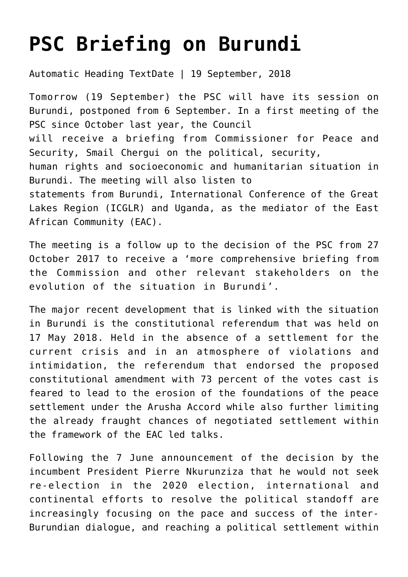## **[PSC Briefing on Burundi](https://amaniafrica-et.org/psc-briefing-on-burundi/)**

Automatic Heading TextDate | 19 September, 2018

Tomorrow (19 September) the PSC will have its session on Burundi, postponed from 6 September. In a first meeting of the PSC since October last year, the Council will receive a briefing from Commissioner for Peace and Security, Smail Chergui on the political, security, human rights and socioeconomic and humanitarian situation in Burundi. The meeting will also listen to statements from Burundi, International Conference of the Great Lakes Region (ICGLR) and Uganda, as the mediator of the East African Community (EAC).

The meeting is a follow up to the decision of the PSC from 27 October 2017 to receive a 'more comprehensive briefing from the Commission and other relevant stakeholders on the evolution of the situation in Burundi'.

The major recent development that is linked with the situation in Burundi is the constitutional referendum that was held on 17 May 2018. Held in the absence of a settlement for the current crisis and in an atmosphere of violations and intimidation, the referendum that endorsed the proposed constitutional amendment with 73 percent of the votes cast is feared to lead to the erosion of the foundations of the peace settlement under the Arusha Accord while also further limiting the already fraught chances of negotiated settlement within the framework of the EAC led talks.

Following the 7 June announcement of the decision by the incumbent President Pierre Nkurunziza that he would not seek re-election in the 2020 election, international and continental efforts to resolve the political standoff are increasingly focusing on the pace and success of the inter-Burundian dialogue, and reaching a political settlement within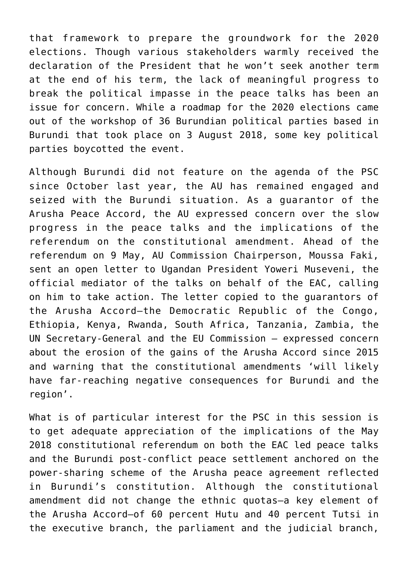that framework to prepare the groundwork for the 2020 elections. Though various stakeholders warmly received the declaration of the President that he won't seek another term at the end of his term, the lack of meaningful progress to break the political impasse in the peace talks has been an issue for concern. While a roadmap for the 2020 elections came out of the workshop of 36 Burundian political parties based in Burundi that took place on 3 August 2018, some key political parties boycotted the event.

Although Burundi did not feature on the agenda of the PSC since October last year, the AU has remained engaged and seized with the Burundi situation. As a guarantor of the Arusha Peace Accord, the AU expressed concern over the slow progress in the peace talks and the implications of the referendum on the constitutional amendment. Ahead of the referendum on 9 May, AU Commission Chairperson, Moussa Faki, sent an open letter to Ugandan President Yoweri Museveni, the official mediator of the talks on behalf of the EAC, calling on him to take action. The letter copied to the guarantors of the Arusha Accord—the Democratic Republic of the Congo, Ethiopia, Kenya, Rwanda, South Africa, Tanzania, Zambia, the UN Secretary-General and the EU Commission – expressed concern about the erosion of the gains of the Arusha Accord since 2015 and warning that the constitutional amendments 'will likely have far-reaching negative consequences for Burundi and the region'.

What is of particular interest for the PSC in this session is to get adequate appreciation of the implications of the May 2018 constitutional referendum on both the EAC led peace talks and the Burundi post-conflict peace settlement anchored on the power-sharing scheme of the Arusha peace agreement reflected in Burundi's constitution. Although the constitutional amendment did not change the ethnic quotas—a key element of the Arusha Accord—of 60 percent Hutu and 40 percent Tutsi in the executive branch, the parliament and the judicial branch,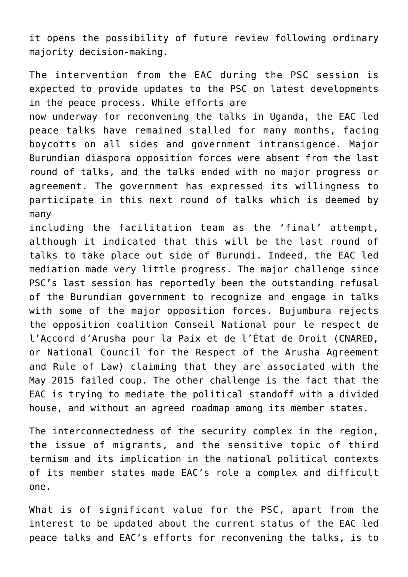it opens the possibility of future review following ordinary majority decision-making.

The intervention from the EAC during the PSC session is expected to provide updates to the PSC on latest developments in the peace process. While efforts are

now underway for reconvening the talks in Uganda, the EAC led peace talks have remained stalled for many months, facing boycotts on all sides and government intransigence. Major Burundian diaspora opposition forces were absent from the last round of talks, and the talks ended with no major progress or agreement. The government has expressed its willingness to participate in this next round of talks which is deemed by many

including the facilitation team as the 'final' attempt, although it indicated that this will be the last round of talks to take place out side of Burundi. Indeed, the EAC led mediation made very little progress. The major challenge since PSC's last session has reportedly been the outstanding refusal of the Burundian government to recognize and engage in talks with some of the major opposition forces. Bujumbura rejects the opposition coalition Conseil National pour le respect de l'Accord d'Arusha pour la Paix et de l'État de Droit (CNARED, or National Council for the Respect of the Arusha Agreement and Rule of Law) claiming that they are associated with the May 2015 failed coup. The other challenge is the fact that the EAC is trying to mediate the political standoff with a divided house, and without an agreed roadmap among its member states.

The interconnectedness of the security complex in the region, the issue of migrants, and the sensitive topic of third termism and its implication in the national political contexts of its member states made EAC's role a complex and difficult one.

What is of significant value for the PSC, apart from the interest to be updated about the current status of the EAC led peace talks and EAC's efforts for reconvening the talks, is to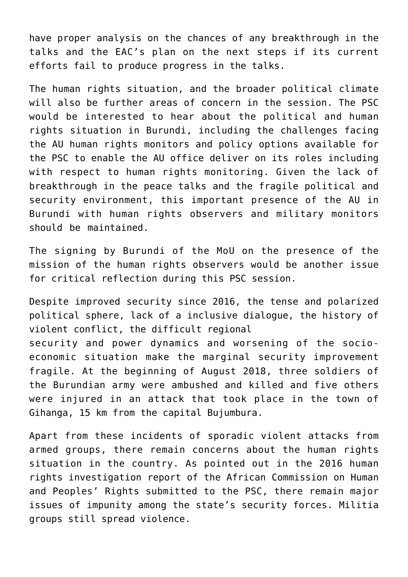have proper analysis on the chances of any breakthrough in the talks and the EAC's plan on the next steps if its current efforts fail to produce progress in the talks.

The human rights situation, and the broader political climate will also be further areas of concern in the session. The PSC would be interested to hear about the political and human rights situation in Burundi, including the challenges facing the AU human rights monitors and policy options available for the PSC to enable the AU office deliver on its roles including with respect to human rights monitoring. Given the lack of breakthrough in the peace talks and the fragile political and security environment, this important presence of the AU in Burundi with human rights observers and military monitors should be maintained.

The signing by Burundi of the MoU on the presence of the mission of the human rights observers would be another issue for critical reflection during this PSC session.

Despite improved security since 2016, the tense and polarized political sphere, lack of a inclusive dialogue, the history of violent conflict, the difficult regional security and power dynamics and worsening of the socioeconomic situation make the marginal security improvement fragile. At the beginning of August 2018, three soldiers of the Burundian army were ambushed and killed and five others were injured in an attack that took place in the town of Gihanga, 15 km from the capital Bujumbura.

Apart from these incidents of sporadic violent attacks from armed groups, there remain concerns about the human rights situation in the country. As pointed out in the 2016 human rights investigation report of the African Commission on Human and Peoples' Rights submitted to the PSC, there remain major issues of impunity among the state's security forces. Militia groups still spread violence.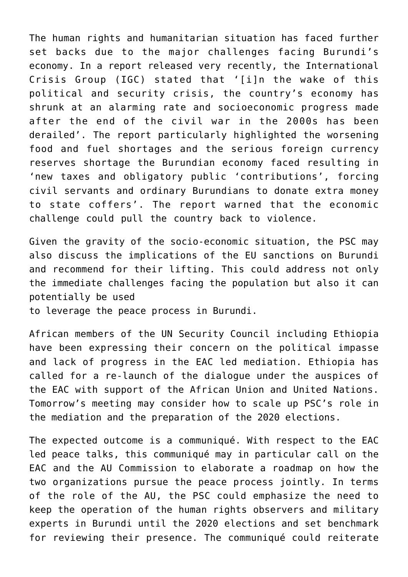The human rights and humanitarian situation has faced further set backs due to the major challenges facing Burundi's economy. In a report released very recently, the International Crisis Group (IGC) stated that '[i]n the wake of this political and security crisis, the country's economy has shrunk at an alarming rate and socioeconomic progress made after the end of the civil war in the 2000s has been derailed'. The report particularly highlighted the worsening food and fuel shortages and the serious foreign currency reserves shortage the Burundian economy faced resulting in 'new taxes and obligatory public 'contributions', forcing civil servants and ordinary Burundians to donate extra money to state coffers'. The report warned that the economic challenge could pull the country back to violence.

Given the gravity of the socio-economic situation, the PSC may also discuss the implications of the EU sanctions on Burundi and recommend for their lifting. This could address not only the immediate challenges facing the population but also it can potentially be used

to leverage the peace process in Burundi.

African members of the UN Security Council including Ethiopia have been expressing their concern on the political impasse and lack of progress in the EAC led mediation. Ethiopia has called for a re-launch of the dialogue under the auspices of the EAC with support of the African Union and United Nations. Tomorrow's meeting may consider how to scale up PSC's role in the mediation and the preparation of the 2020 elections.

The expected outcome is a communiqué. With respect to the EAC led peace talks, this communiqué may in particular call on the EAC and the AU Commission to elaborate a roadmap on how the two organizations pursue the peace process jointly. In terms of the role of the AU, the PSC could emphasize the need to keep the operation of the human rights observers and military experts in Burundi until the 2020 elections and set benchmark for reviewing their presence. The communiqué could reiterate